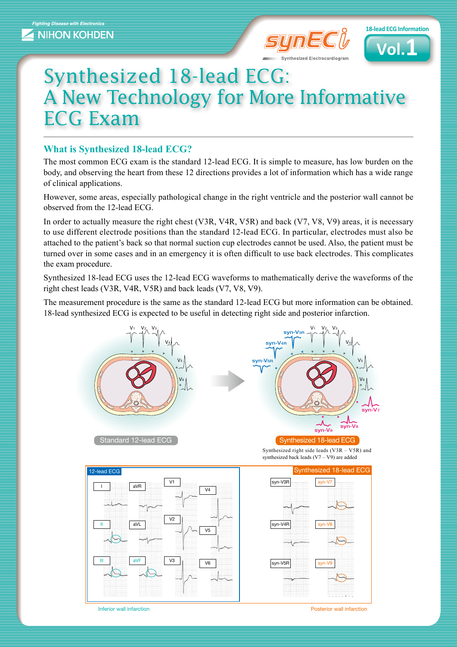



## Synthesized 18-lead ECG: A New Technology for More Informative **ECG Exam**

## **What is Synthesized 18-lead ECG?**

The most common ECG exam is the standard 12-lead ECG. It is simple to measure, has low burden on the body, and observing the heart from these 12 directions provides a lot of information which has a wide range of clinical applications.

However, some areas, especially pathological change in the right ventricle and the posterior wall cannot be observed from the  $12$ -lead ECG.

In order to actually measure the right chest (V3R, V4R, V5R) and back (V7, V8, V9) areas, it is necessary to use different electrode positions than the standard 12-lead ECG. In particular, electrodes must also be attached to the patient's back so that normal suction cup electrodes cannot be used. Also, the patient must be turned over in some cases and in an emergency it is often difficult to use back electrodes. This complicates the exam procedure.

Synthesized 18-lead ECG uses the 12-lead ECG waveforms to mathematically derive the waveforms of the right chest leads (V3R, V4R, V5R) and back leads  $(V7, V8, V9)$ .

The measurement procedure is the same as the standard 12-lead ECG but more information can be obtained. 18-lead synthesized ECG is expected to be useful in detecting right side and posterior infarction.



**inferior wall infarction** infarction in the state of the state of the state of the state of the state of the state of the state of the state of the state of the state of the state of the state of the state of the state of